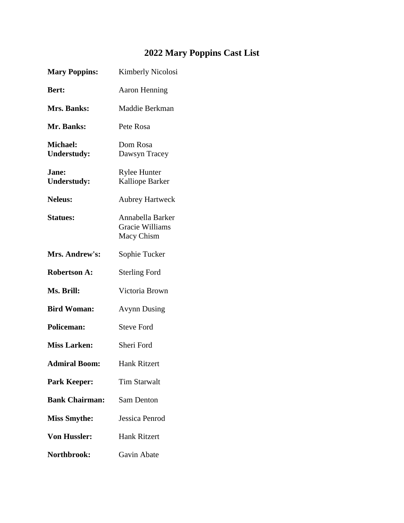## **2022 Mary Poppins Cast List**

| <b>Mary Poppins:</b>           | Kimberly Nicolosi                                        |
|--------------------------------|----------------------------------------------------------|
| <b>Bert:</b>                   | <b>Aaron Henning</b>                                     |
| Mrs. Banks:                    | Maddie Berkman                                           |
| Mr. Banks:                     | Pete Rosa                                                |
| Michael:<br><b>Understudy:</b> | Dom Rosa<br>Dawsyn Tracey                                |
| Jane:<br><b>Understudy:</b>    | <b>Rylee Hunter</b><br><b>Kalliope Barker</b>            |
| <b>Neleus:</b>                 | <b>Aubrey Hartweck</b>                                   |
| <b>Statues:</b>                | Annabella Barker<br><b>Gracie Williams</b><br>Macy Chism |
| Mrs. Andrew's:                 | Sophie Tucker                                            |
| <b>Robertson A:</b>            | <b>Sterling Ford</b>                                     |
| Ms. Brill:                     | Victoria Brown                                           |
| <b>Bird Woman:</b>             | <b>Avynn Dusing</b>                                      |
| <b>Policeman:</b>              | <b>Steve Ford</b>                                        |
| <b>Miss Larken:</b>            | Sheri Ford                                               |
| <b>Admiral Boom:</b>           | <b>Hank Ritzert</b>                                      |
| <b>Park Keeper:</b>            | <b>Tim Starwalt</b>                                      |
| <b>Bank Chairman:</b>          | Sam Denton                                               |
| <b>Miss Smythe:</b>            | Jessica Penrod                                           |
| <b>Von Hussler:</b>            | <b>Hank Ritzert</b>                                      |
| Northbrook:                    | Gavin Abate                                              |